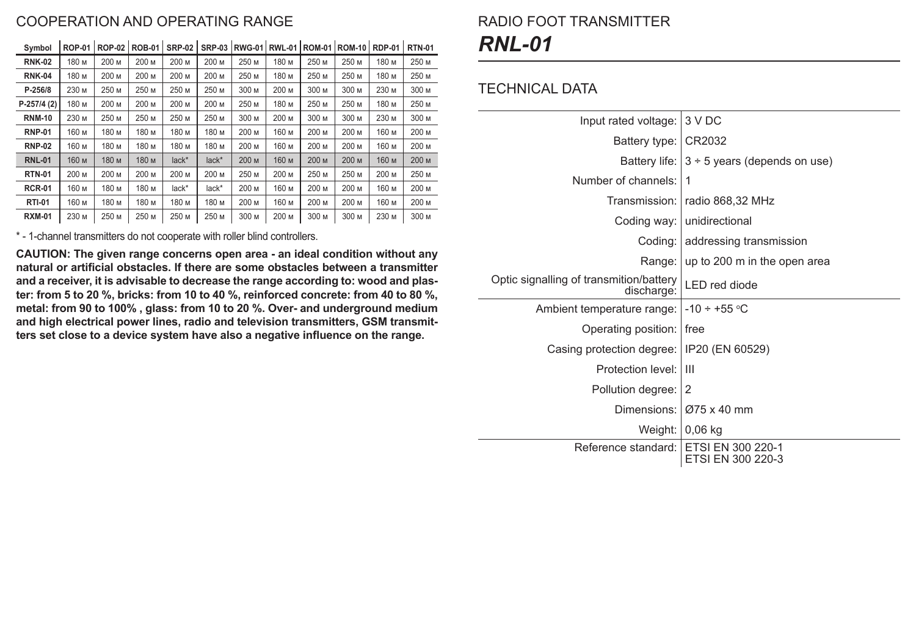### COOPERATION AND OPERATING RANGE

| ັບγπານບາ      | ו ט־ו שיו | - ישר | וט־שטו | שי וגוש | טט־וויט | וט־שינו | $1111 - 1$ | ו ט־וויו טי | טו־ויו שנו | ו ש־ו שרו | ,,,,,,,,, |
|---------------|-----------|-------|--------|---------|---------|---------|------------|-------------|------------|-----------|-----------|
| <b>RNK-02</b> | 180 M     | 200 M | 200 M  | 200 M   | 200 м   | 250 M   | 180 M      | 250 M       | 250 M      | 180 M     | 250 M     |
| <b>RNK-04</b> | 180 M     | 200 M | 200 M  | 200 M   | 200 M   | 250 M   | 180 M      | 250 M       | 250 M      | 180 M     | 250 M     |
| $P - 256/8$   | 230 M     | 250 M | 250 M  | 250 M   | 250 M   | 300 M   | 200 M      | 300 M       | 300 M      | 230 M     | 300 M     |
| $P-257/4(2)$  | 180 M     | 200 M | 200 M  | 200 M   | 200 м   | 250 M   | 180 M      | 250 M       | 250 M      | 180 M     | 250 M     |
| <b>RNM-10</b> | 230 M     | 250 M | 250 M  | 250 M   | 250 M   | 300 M   | 200 M      | 300 M       | 300 M      | 230 M     | 300 M     |
| <b>RNP-01</b> | 160 м     | 180 м | 180 M  | 180 M   | 180 M   | 200 M   | 160 M      | 200 M       | 200 M      | 160 M     | 200 M     |
| <b>RNP-02</b> | 160 м     | 180 м | 180 M  | 180 M   | 180 M   | 200 M   | 160 м      | 200 M       | 200 M      | 160 M     | 200 M     |
| <b>RNL-01</b> | 160 м     | 180 м | 180 M  | lack*   | lack*   | 200 M   | 160 M      | 200 M       | 200 M      | 160 M     | 200 M     |
| <b>RTN-01</b> | 200 M     | 200 M | 200 M  | 200 M   | 200 M   | 250 M   | 200 M      | 250 M       | 250 M      | 200 M     | 250 M     |
| <b>RCR-01</b> | 160 м     | 180 M | 180 м  | lack*   | lack*   | 200 M   | 160 м      | 200 M       | 200 M      | 160 M     | 200 M     |
| <b>RTI-01</b> | 160 M     | 180 M | 180 M  | 180 M   | 180 M   | 200 M   | 160 M      | 200 M       | 200 M      | 160 M     | 200 M     |
| <b>RXM-01</b> | 230 M     | 250 M | 250 M  | 250 M   | 250 M   | 300 M   | 200 M      | 300 M       | 300 M      | 230 M     | 300 M     |

**Symbol ROP-01 ROP-02 ROB-01 SRP-02 SRP-03 RWG-01 RWL-01 ROМ-01 ROМ-10 RDP-01 RTN-01**

\* - 1-channel transmitters do not cooperate with roller blind controllers.

**CAUTION: The given range concerns open area - an ideal condition without any natural or artificial obstacles. If there are some obstacles between a transmitter and a receiver, it is advisable to decrease the range according to: wood and plaster: from 5 to 20 %, bricks: from 10 to 40 %, reinforced concrete: from 40 to 80 %, metal: from 90 to 100% , glass: from 10 to 20 %. Over- and underground medium and high electrical power lines, radio and television transmitters, GSM transmitters set close to a device system have also a negative influence on the range.**

# RADIO FOOT TRANSMITTER *RNL-01*

#### TECHNICAL DATA

| Input rated voltage:                                  | 3 V DC                                          |  |  |  |  |
|-------------------------------------------------------|-------------------------------------------------|--|--|--|--|
| Battery type: CR2032                                  |                                                 |  |  |  |  |
|                                                       | Battery life: $3 \div 5$ years (depends on use) |  |  |  |  |
| Number of channels:                                   | 1                                               |  |  |  |  |
|                                                       | Transmission:   radio 868,32 MHz                |  |  |  |  |
| Coding way:                                           | unidirectional                                  |  |  |  |  |
|                                                       | Coding:   addressing transmission               |  |  |  |  |
| Range:                                                | up to 200 m in the open area                    |  |  |  |  |
| Optic signalling of transmition/battery<br>discharge: | <b>LED</b> red diode                            |  |  |  |  |
| Ambient temperature range:                            | $-10 \div +55$ °C                               |  |  |  |  |
| Operating position:   free                            |                                                 |  |  |  |  |
| Casing protection degree:   IP20 (EN 60529)           |                                                 |  |  |  |  |
| Protection level: I                                   | Ш                                               |  |  |  |  |
| Pollution degree: 2                                   |                                                 |  |  |  |  |
|                                                       | Dimensions: 075 x 40 mm                         |  |  |  |  |
|                                                       | Weight:   0,06 kg                               |  |  |  |  |
| Reference standard:                                   | ETSI EN 300 220-1<br>ETSI EN 300 220-3          |  |  |  |  |